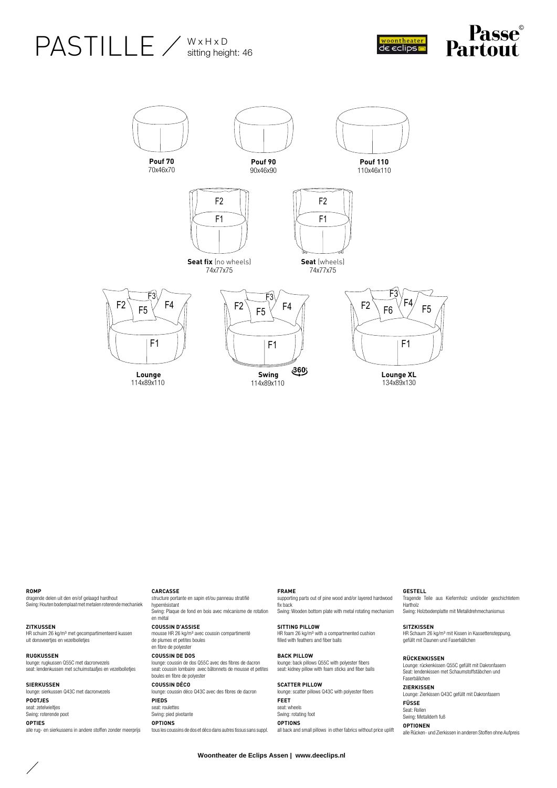## PASTILLE / WXHXD sitting height: 46





**ROMP** 

dragende delen uit den en/of gelaagd hardhout Swing: Houten bodemplaat met metalen roterende mechaniek

**ZITKUSSEN** HR schuim 26 kg/m³ met gecompartimenteerd kussen uit donsveertjes en vezelbolletjes

**RUGKUSSEN** lounge: rugkussen Q55C met dacronvezels seat: lendenkussen met schuimstaafjes en vezelbolletjes

**SIERKUSSEN** lounge: sierkussen Q43C met dacronvezels **POOTJES** seat: zetelwielties Swing: roterende poot **OPTIES** alle rug- en sierkussens in andere stoffen zonder meerprijs

**CARCASSE**

structure portante en sapin et/ou panneau stratifié hyperrésistant Swing: Plaque de fond en bois avec mécanisme de rotation en métal

**COUSSIN D'ASSISE** mousse HR 26 kg/m³ avec coussin compartimenté

de plumes et petites boules en fibre de polyester **COUSSIN DE DOS** lounge: coussin de dos Q55C avec des fibres de dacron

seat: coussin lombaire avec bâtonnets de mousse et petites boules en fibre de polyester

### **COUSSIN DÉCO**

lounge: coussin déco Q43C avec des fibres de dacron **PIEDS** seat: roulettes Swing: pied pivotante

**OPTIONS**

tous les coussins de dos et déco dans autres tissus sans suppl.

#### **FRAME**

supporting parts out of pine wood and/or layered hardwood fix back Swing: Wooden bottom plate with metal rotating mechanism

#### **SITTING PILLOW**

HR foam 26 kg/m<sup>3</sup> with a compartmented cushion filled with feathers and fiber balls

## **BACK PILLOW** lounge: back pillows Q55C with polyester fibers

seat: kidney pillow with foam sticks and fiber balls **SCATTER PILLOW**

#### lounge: scatter pillows Q43C with polyester fibers **FEET** seat: wheels Swing: rotating foot **OPTIONS**

all back and small pillows in other fabrics without price uplift **OPTIONEN**

#### **GESTELL**

Tragende Teile aus Kiefernholz und/oder geschichtetem Hartholz Swing: Holzbodenplatte mit Metalldrehmechanismus

#### **SITZKISSEN**

HR Schaum 26 kg/m³ mit Kissen in Kassettensteppung, gefüllt mit Daunen und Faserbällchen

**RÜCKENKISSEN** Lounge: rückenkissen Q55C gefüllt mit Dakronfasern Seat: lendenkissen met Schaumstoffstäbchen und Faserbällchen

**ZIERKISSEN** Lounge: Zierkissen Q43C gefüllt mit Dakronfasern **FÜSSE** Seat: Rollen Swing: Metallderh fuß

alle Rücken- und Zierkissen in anderen Stoffen ohne Aufpreis